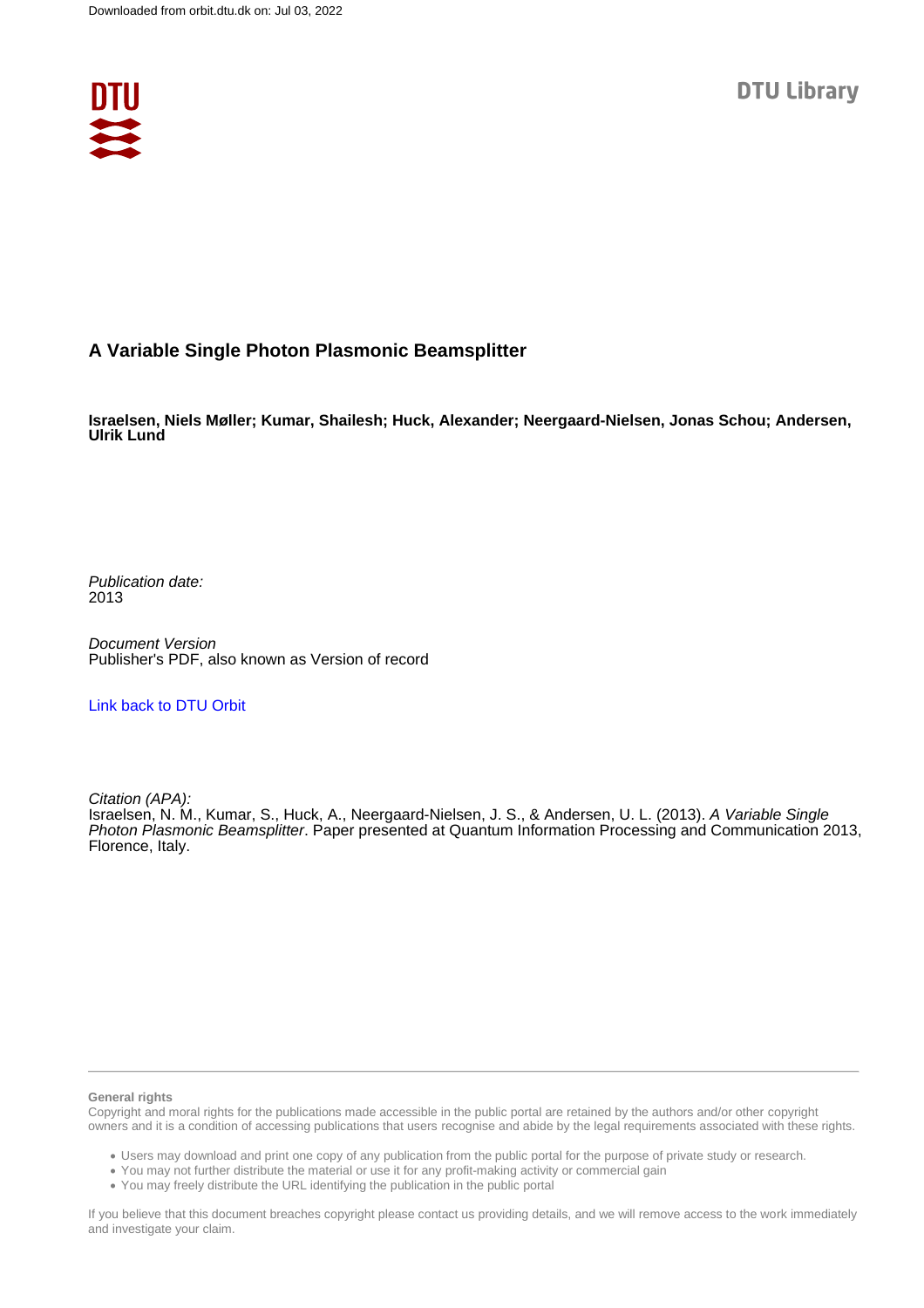

## **A Variable Single Photon Plasmonic Beamsplitter**

**Israelsen, Niels Møller; Kumar, Shailesh; Huck, Alexander; Neergaard-Nielsen, Jonas Schou; Andersen, Ulrik Lund**

Publication date: 2013

Document Version Publisher's PDF, also known as Version of record

[Link back to DTU Orbit](https://orbit.dtu.dk/en/publications/c946bf20-ee51-41bb-aa61-52bb35cfbb37)

Citation (APA):

Israelsen, N. M., Kumar, S., Huck, A., Neergaard-Nielsen, J. S., & Andersen, U. L. (2013). A Variable Single Photon Plasmonic Beamsplitter. Paper presented at Quantum Information Processing and Communication 2013, Florence, Italy.

#### **General rights**

Copyright and moral rights for the publications made accessible in the public portal are retained by the authors and/or other copyright owners and it is a condition of accessing publications that users recognise and abide by the legal requirements associated with these rights.

Users may download and print one copy of any publication from the public portal for the purpose of private study or research.

- You may not further distribute the material or use it for any profit-making activity or commercial gain
- You may freely distribute the URL identifying the publication in the public portal

If you believe that this document breaches copyright please contact us providing details, and we will remove access to the work immediately and investigate your claim.